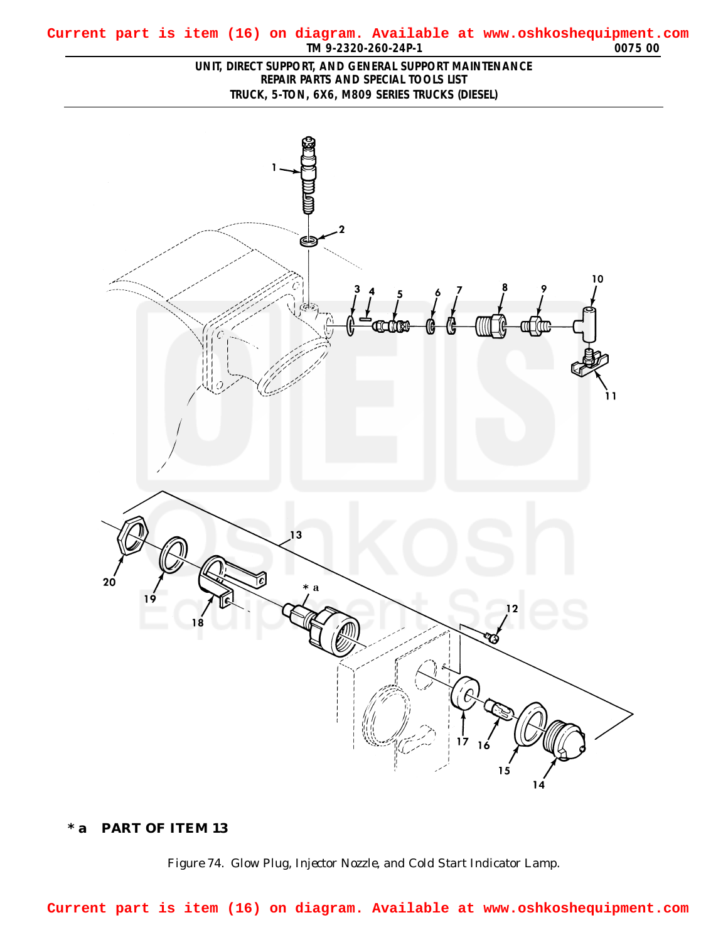<span id="page-0-0"></span>

## **\* a PART OF ITEM 13**



**Current part is item (16) on diagram. Available at www.oshkoshequipment.com**